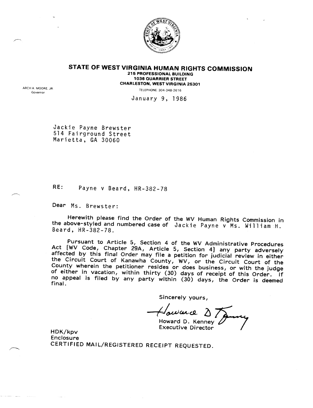

**STATE OF WEST VIRGINIA HUMAN RIGHTS COMMISSION** 215 PROFESSIONAL BUILDING 1036 QUARRIER STREET CHARLESTON. WEST VIRGINIA 25301

ARCH A. MOORE. JR Governor

TELEPHONE: 304-348-2616

January 9, 1986

Jackie Payne Brewster 514 Fairground Street Marietta, GA 30060

RE: Payne v Beard, HR-382-78

Dear Ms. Brewster:

Herewith please find the Order of the *WV* Human Rights Commission in the above-styled and numbered case of Jackie Payne v Ms. William H. Beard, HR-382-78.

Pursuant to Article 5, Section 4 of the *WV* Administrative Procedures Act **[WV Code, Chapter 29A, Article 5, Section 4] any party adversel** ffected by this final Order may file a petition for judicial review in either the Circuit Court of Kanawha County, *WV,* or the Circuit Court of the County wherein the petitioner resides or does business, or with the judge  $\frac{1}{2}$  either in vacation, within thirty (30) days of receipt of this Order. If no appeal is filed by any party within (30) days, the Order is deemed final.

Sincerely yours,

Sincerely yours,<br>*However 2 7 June* Howard D. Kenney

Executive Director

HDK/kpv Enclosure CERTIFIED MAil/REGISTERED RECEIPT REQUESTED.